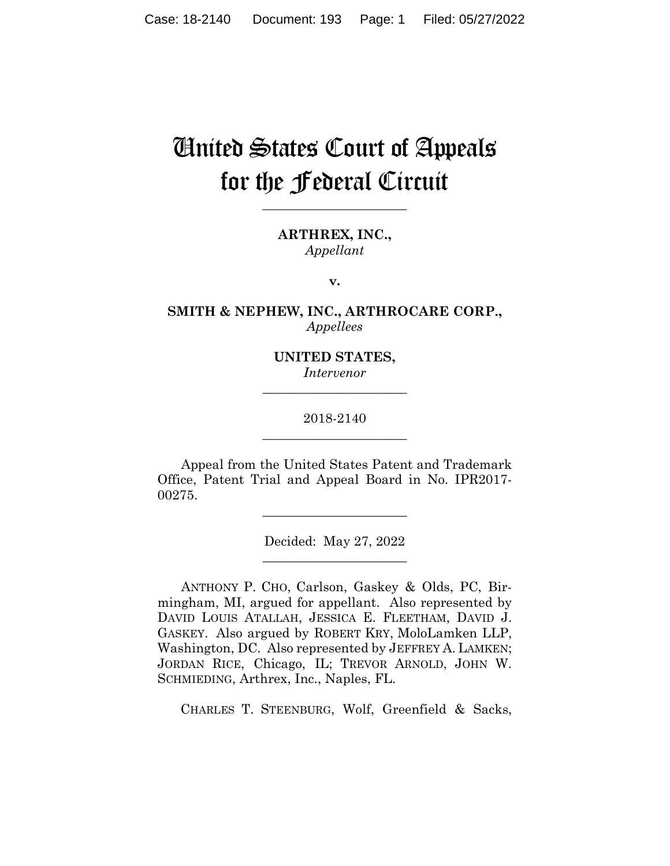# United States Court of Appeals for the Federal Circuit

**\_\_\_\_\_\_\_\_\_\_\_\_\_\_\_\_\_\_\_\_\_\_** 

**ARTHREX, INC.,** *Appellant*

**v.**

**SMITH & NEPHEW, INC., ARTHROCARE CORP.,** *Appellees*

> **UNITED STATES,** *Intervenor* **\_\_\_\_\_\_\_\_\_\_\_\_\_\_\_\_\_\_\_\_\_\_**

# 2018-2140 **\_\_\_\_\_\_\_\_\_\_\_\_\_\_\_\_\_\_\_\_\_\_**

Appeal from the United States Patent and Trademark Office, Patent Trial and Appeal Board in No. IPR2017- 00275.

\_\_\_\_\_\_\_\_\_\_\_\_\_\_\_\_\_\_\_\_\_\_

Decided: May 27, 2022 \_\_\_\_\_\_\_\_\_\_\_\_\_\_\_\_\_\_\_\_\_\_

ANTHONY P. CHO, Carlson, Gaskey & Olds, PC, Birmingham, MI, argued for appellant. Also represented by DAVID LOUIS ATALLAH, JESSICA E. FLEETHAM, DAVID J. GASKEY. Also argued by ROBERT KRY, MoloLamken LLP, Washington, DC. Also represented by JEFFREY A. LAMKEN; JORDAN RICE, Chicago, IL; TREVOR ARNOLD, JOHN W. SCHMIEDING, Arthrex, Inc., Naples, FL.

CHARLES T. STEENBURG, Wolf, Greenfield & Sacks,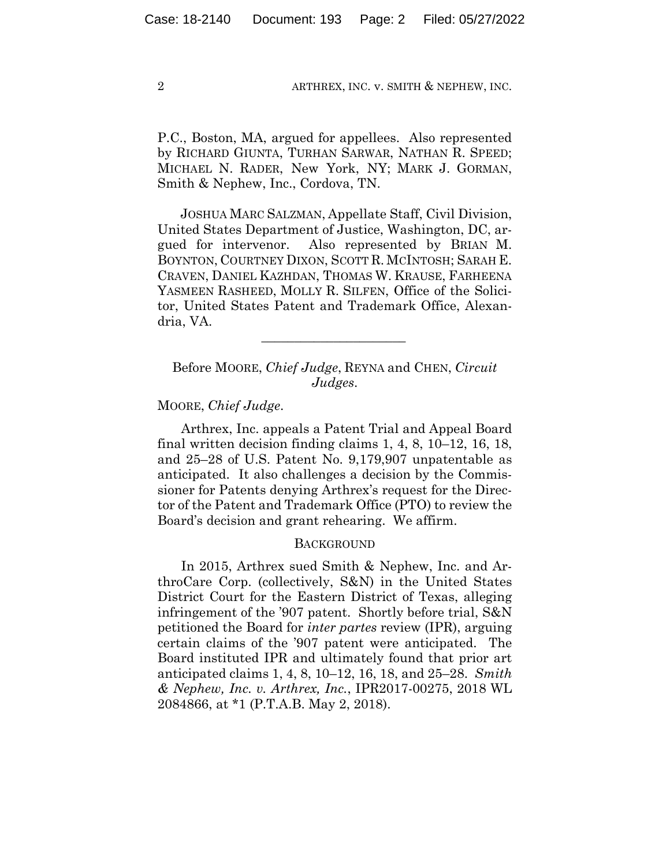P.C., Boston, MA, argued for appellees. Also represented by RICHARD GIUNTA, TURHAN SARWAR, NATHAN R. SPEED; MICHAEL N. RADER, New York, NY; MARK J. GORMAN, Smith & Nephew, Inc., Cordova, TN.

 JOSHUA MARC SALZMAN, Appellate Staff, Civil Division, United States Department of Justice, Washington, DC, argued for intervenor. Also represented by BRIAN M. BOYNTON, COURTNEY DIXON, SCOTT R. MCINTOSH; SARAH E. CRAVEN, DANIEL KAZHDAN, THOMAS W. KRAUSE, FARHEENA YASMEEN RASHEED, MOLLY R. SILFEN, Office of the Solicitor, United States Patent and Trademark Office, Alexandria, VA.

# Before MOORE, *Chief Judge*, REYNA and CHEN, *Circuit Judges*.

 $\mathcal{L}_\text{max}$  and  $\mathcal{L}_\text{max}$  and  $\mathcal{L}_\text{max}$  and  $\mathcal{L}_\text{max}$ 

## MOORE, *Chief Judge*.

Arthrex, Inc. appeals a Patent Trial and Appeal Board final written decision finding claims 1, 4, 8, 10–12, 16, 18, and 25–28 of U.S. Patent No. 9,179,907 unpatentable as anticipated. It also challenges a decision by the Commissioner for Patents denying Arthrex's request for the Director of the Patent and Trademark Office (PTO) to review the Board's decision and grant rehearing. We affirm.

## **BACKGROUND**

In 2015, Arthrex sued Smith & Nephew, Inc. and ArthroCare Corp. (collectively, S&N) in the United States District Court for the Eastern District of Texas, alleging infringement of the '907 patent. Shortly before trial, S&N petitioned the Board for *inter partes* review (IPR), arguing certain claims of the '907 patent were anticipated. The Board instituted IPR and ultimately found that prior art anticipated claims 1, 4, 8, 10–12, 16, 18, and 25–28. *Smith & Nephew, Inc. v. Arthrex, Inc.*, IPR2017-00275, 2018 WL 2084866, at \*1 (P.T.A.B. May 2, 2018).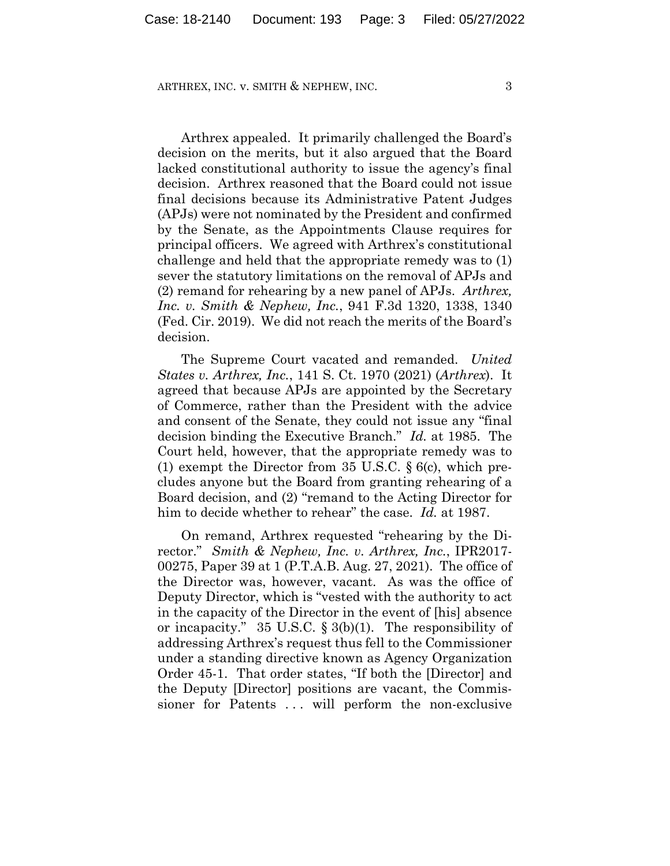Arthrex appealed. It primarily challenged the Board's decision on the merits, but it also argued that the Board lacked constitutional authority to issue the agency's final decision. Arthrex reasoned that the Board could not issue final decisions because its Administrative Patent Judges (APJs) were not nominated by the President and confirmed by the Senate, as the Appointments Clause requires for principal officers. We agreed with Arthrex's constitutional challenge and held that the appropriate remedy was to (1) sever the statutory limitations on the removal of APJs and (2) remand for rehearing by a new panel of APJs. *Arthrex, Inc. v. Smith & Nephew, Inc.*, 941 F.3d 1320, 1338, 1340 (Fed. Cir. 2019). We did not reach the merits of the Board's decision.

The Supreme Court vacated and remanded. *United States v. Arthrex, Inc.*, 141 S. Ct. 1970 (2021) (*Arthrex*). It agreed that because APJs are appointed by the Secretary of Commerce, rather than the President with the advice and consent of the Senate, they could not issue any "final decision binding the Executive Branch." *Id.* at 1985. The Court held, however, that the appropriate remedy was to (1) exempt the Director from 35 U.S.C. § 6(c), which precludes anyone but the Board from granting rehearing of a Board decision, and (2) "remand to the Acting Director for him to decide whether to rehear" the case. *Id.* at 1987.

On remand, Arthrex requested "rehearing by the Director." *Smith & Nephew, Inc. v. Arthrex, Inc.*, IPR2017- 00275, Paper 39 at 1 (P.T.A.B. Aug. 27, 2021). The office of the Director was, however, vacant. As was the office of Deputy Director, which is "vested with the authority to act in the capacity of the Director in the event of [his] absence or incapacity." 35 U.S.C. § 3(b)(1). The responsibility of addressing Arthrex's request thus fell to the Commissioner under a standing directive known as Agency Organization Order 45-1. That order states, "If both the [Director] and the Deputy [Director] positions are vacant, the Commissioner for Patents ... will perform the non-exclusive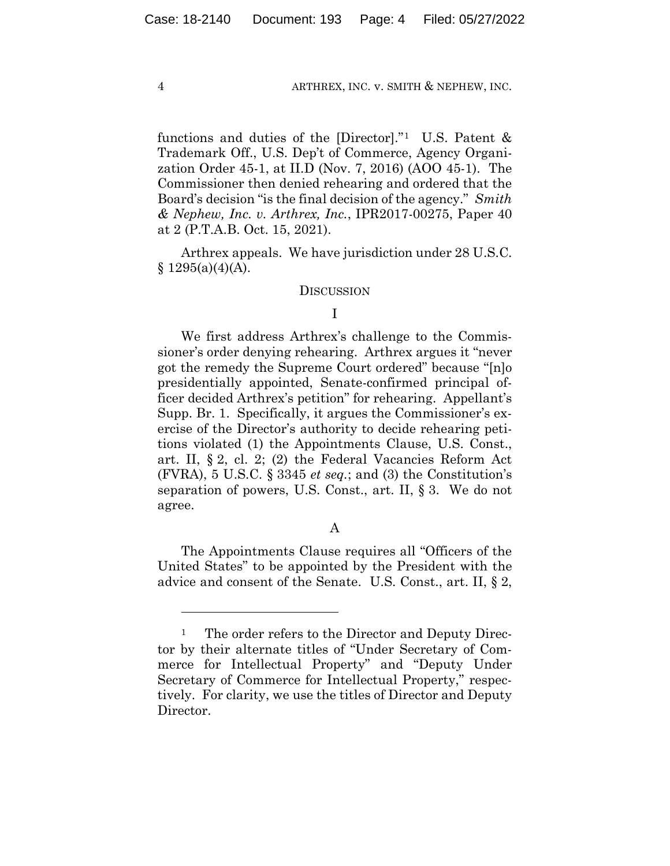functions and duties of the [Director]."1 U.S. Patent & Trademark Off., U.S. Dep't of Commerce, Agency Organization Order 45-1, at II.D (Nov. 7, 2016) (AOO 45-1). The Commissioner then denied rehearing and ordered that the Board's decision "is the final decision of the agency." *Smith & Nephew, Inc. v. Arthrex, Inc.*, IPR2017-00275, Paper 40 at 2 (P.T.A.B. Oct. 15, 2021).

Arthrex appeals. We have jurisdiction under 28 U.S.C.  $§ 1295(a)(4)(A).$ 

#### **DISCUSSION**

# I

We first address Arthrex's challenge to the Commissioner's order denying rehearing. Arthrex argues it "never got the remedy the Supreme Court ordered" because "[n]o presidentially appointed, Senate-confirmed principal officer decided Arthrex's petition" for rehearing. Appellant's Supp. Br. 1. Specifically, it argues the Commissioner's exercise of the Director's authority to decide rehearing petitions violated (1) the Appointments Clause, U.S. Const., art. II, § 2, cl. 2; (2) the Federal Vacancies Reform Act (FVRA), 5 U.S.C. § 3345 *et seq.*; and (3) the Constitution's separation of powers, U.S. Const., art. II, § 3. We do not agree.

#### A

The Appointments Clause requires all "Officers of the United States" to be appointed by the President with the advice and consent of the Senate. U.S. Const., art. II, § 2,

<sup>&</sup>lt;sup>1</sup> The order refers to the Director and Deputy Director by their alternate titles of "Under Secretary of Commerce for Intellectual Property" and "Deputy Under Secretary of Commerce for Intellectual Property," respectively. For clarity, we use the titles of Director and Deputy Director.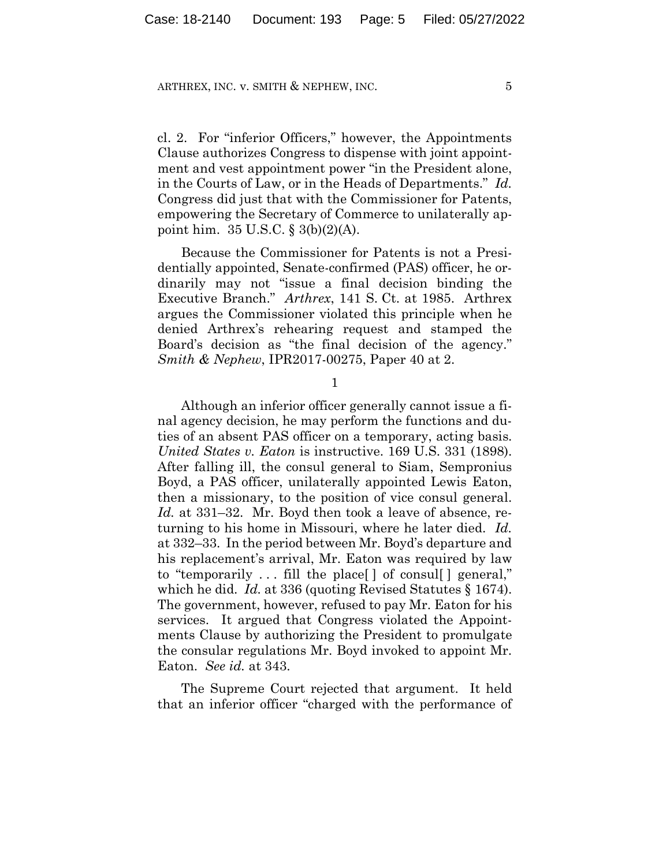cl. 2. For "inferior Officers," however, the Appointments Clause authorizes Congress to dispense with joint appointment and vest appointment power "in the President alone, in the Courts of Law, or in the Heads of Departments." *Id.* Congress did just that with the Commissioner for Patents, empowering the Secretary of Commerce to unilaterally appoint him. 35 U.S.C. § 3(b)(2)(A).

Because the Commissioner for Patents is not a Presidentially appointed, Senate-confirmed (PAS) officer, he ordinarily may not "issue a final decision binding the Executive Branch." *Arthrex*, 141 S. Ct. at 1985. Arthrex argues the Commissioner violated this principle when he denied Arthrex's rehearing request and stamped the Board's decision as "the final decision of the agency." *Smith & Nephew*, IPR2017-00275, Paper 40 at 2.

1

Although an inferior officer generally cannot issue a final agency decision, he may perform the functions and duties of an absent PAS officer on a temporary, acting basis. *United States v. Eaton* is instructive. 169 U.S. 331 (1898). After falling ill, the consul general to Siam, Sempronius Boyd, a PAS officer, unilaterally appointed Lewis Eaton, then a missionary, to the position of vice consul general. *Id.* at 331–32. Mr. Boyd then took a leave of absence, returning to his home in Missouri, where he later died. *Id.* at 332–33. In the period between Mr. Boyd's departure and his replacement's arrival, Mr. Eaton was required by law to "temporarily . . . fill the place[ ] of consul[ ] general," which he did. *Id.* at 336 (quoting Revised Statutes § 1674). The government, however, refused to pay Mr. Eaton for his services. It argued that Congress violated the Appointments Clause by authorizing the President to promulgate the consular regulations Mr. Boyd invoked to appoint Mr. Eaton. *See id.* at 343.

The Supreme Court rejected that argument. It held that an inferior officer "charged with the performance of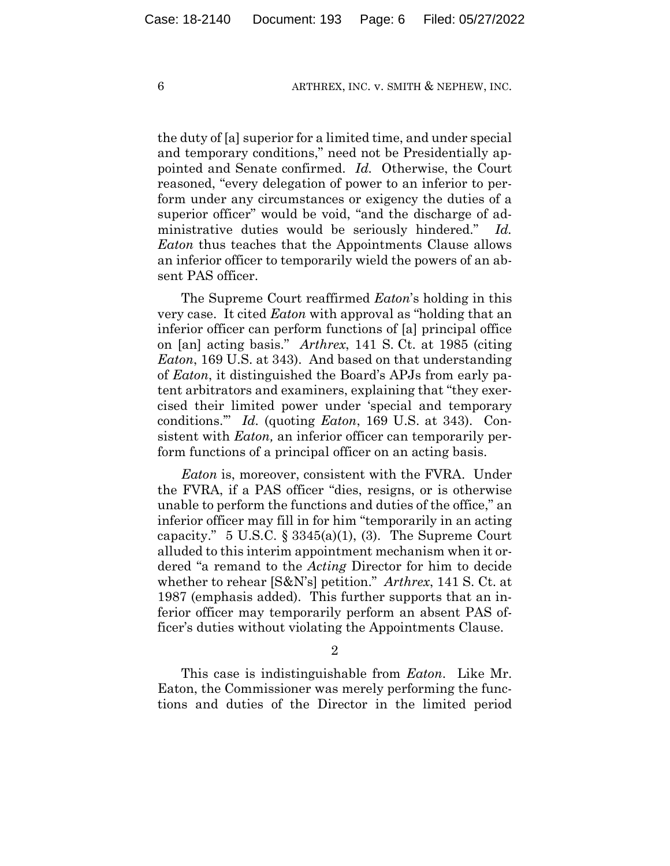the duty of [a] superior for a limited time, and under special and temporary conditions," need not be Presidentially appointed and Senate confirmed. *Id.* Otherwise, the Court reasoned, "every delegation of power to an inferior to perform under any circumstances or exigency the duties of a superior officer" would be void, "and the discharge of administrative duties would be seriously hindered." *Id. Eaton* thus teaches that the Appointments Clause allows an inferior officer to temporarily wield the powers of an absent PAS officer.

The Supreme Court reaffirmed *Eaton*'s holding in this very case. It cited *Eaton* with approval as "holding that an inferior officer can perform functions of [a] principal office on [an] acting basis." *Arthrex*, 141 S. Ct. at 1985 (citing *Eaton*, 169 U.S. at 343). And based on that understanding of *Eaton*, it distinguished the Board's APJs from early patent arbitrators and examiners, explaining that "they exercised their limited power under 'special and temporary conditions.'" *Id.* (quoting *Eaton*, 169 U.S. at 343). Consistent with *Eaton,* an inferior officer can temporarily perform functions of a principal officer on an acting basis.

*Eaton* is, moreover, consistent with the FVRA. Under the FVRA, if a PAS officer "dies, resigns, or is otherwise unable to perform the functions and duties of the office," an inferior officer may fill in for him "temporarily in an acting capacity." 5 U.S.C.  $\S 3345(a)(1)$ , (3). The Supreme Court alluded to this interim appointment mechanism when it ordered "a remand to the *Acting* Director for him to decide whether to rehear [S&N's] petition." *Arthrex*, 141 S. Ct. at 1987 (emphasis added). This further supports that an inferior officer may temporarily perform an absent PAS officer's duties without violating the Appointments Clause.

2

This case is indistinguishable from *Eaton*. Like Mr. Eaton, the Commissioner was merely performing the functions and duties of the Director in the limited period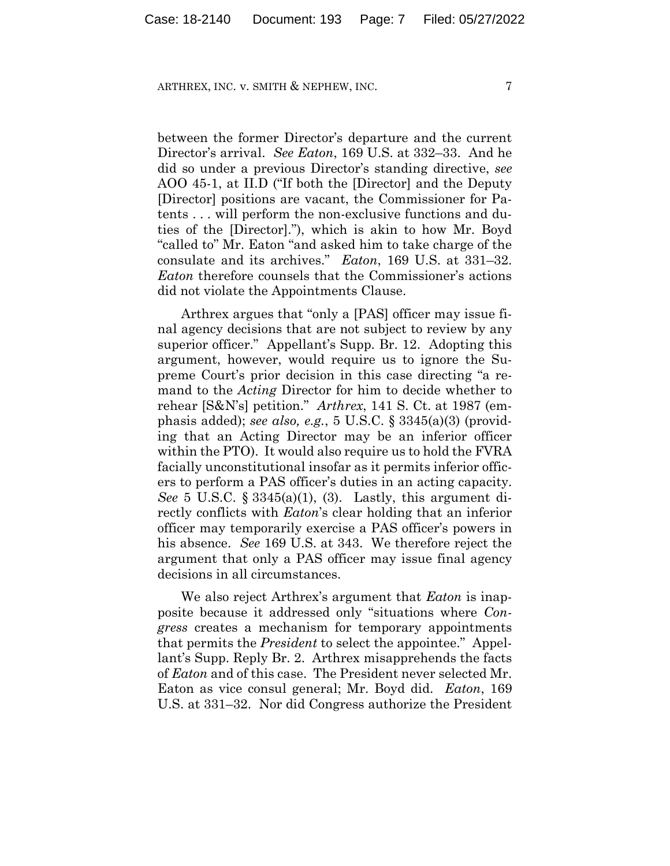between the former Director's departure and the current Director's arrival. *See Eaton*, 169 U.S. at 332–33. And he did so under a previous Director's standing directive, *see*  AOO 45-1, at II.D ("If both the [Director] and the Deputy [Director] positions are vacant, the Commissioner for Patents . . . will perform the non-exclusive functions and duties of the [Director]."), which is akin to how Mr. Boyd "called to" Mr. Eaton "and asked him to take charge of the consulate and its archives." *Eaton*, 169 U.S. at 331–32. *Eaton* therefore counsels that the Commissioner's actions did not violate the Appointments Clause.

Arthrex argues that "only a [PAS] officer may issue final agency decisions that are not subject to review by any superior officer." Appellant's Supp. Br. 12. Adopting this argument, however, would require us to ignore the Supreme Court's prior decision in this case directing "a remand to the *Acting* Director for him to decide whether to rehear [S&N's] petition." *Arthrex*, 141 S. Ct. at 1987 (emphasis added); *see also, e.g.*, 5 U.S.C. § 3345(a)(3) (providing that an Acting Director may be an inferior officer within the PTO). It would also require us to hold the FVRA facially unconstitutional insofar as it permits inferior officers to perform a PAS officer's duties in an acting capacity. *See* 5 U.S.C. § 3345(a)(1), (3). Lastly, this argument directly conflicts with *Eaton*'s clear holding that an inferior officer may temporarily exercise a PAS officer's powers in his absence. *See* 169 U.S. at 343. We therefore reject the argument that only a PAS officer may issue final agency decisions in all circumstances.

We also reject Arthrex's argument that *Eaton* is inapposite because it addressed only "situations where *Congress* creates a mechanism for temporary appointments that permits the *President* to select the appointee." Appellant's Supp. Reply Br. 2. Arthrex misapprehends the facts of *Eaton* and of this case. The President never selected Mr. Eaton as vice consul general; Mr. Boyd did. *Eaton*, 169 U.S. at 331–32. Nor did Congress authorize the President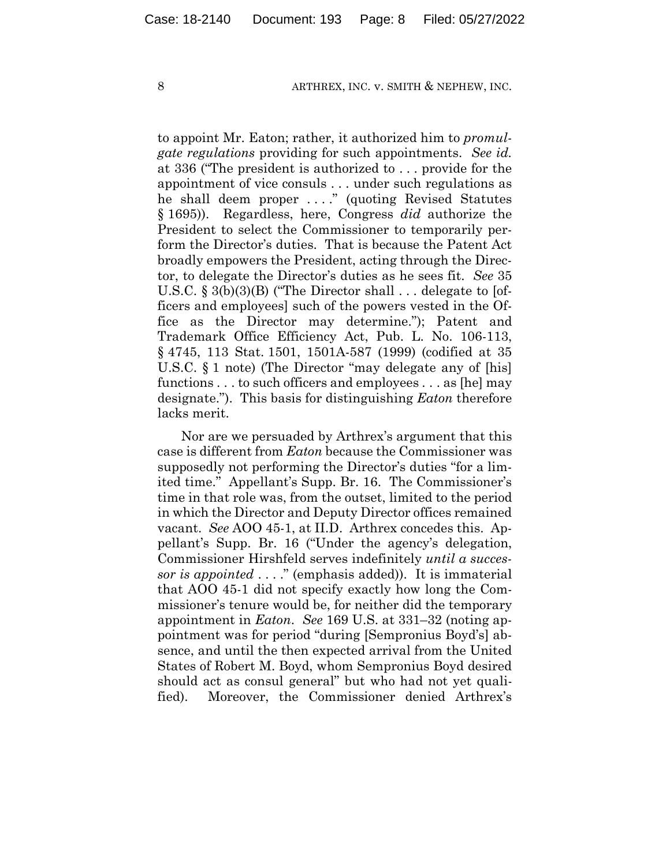to appoint Mr. Eaton; rather, it authorized him to *promulgate regulations* providing for such appointments. *See id.* at 336 ("The president is authorized to . . . provide for the appointment of vice consuls . . . under such regulations as he shall deem proper . . . ." (quoting Revised Statutes § 1695)). Regardless, here, Congress *did* authorize the President to select the Commissioner to temporarily perform the Director's duties. That is because the Patent Act broadly empowers the President, acting through the Director, to delegate the Director's duties as he sees fit. *See* 35 U.S.C. § 3(b)(3)(B) ("The Director shall . . . delegate to [officers and employees] such of the powers vested in the Office as the Director may determine."); Patent and Trademark Office Efficiency Act, Pub. L. No. 106-113, § 4745, 113 Stat. 1501, 1501A-587 (1999) (codified at 35 U.S.C. § 1 note) (The Director "may delegate any of [his] functions . . . to such officers and employees . . . as [he] may designate."). This basis for distinguishing *Eaton* therefore lacks merit.

Nor are we persuaded by Arthrex's argument that this case is different from *Eaton* because the Commissioner was supposedly not performing the Director's duties "for a limited time." Appellant's Supp. Br. 16. The Commissioner's time in that role was, from the outset, limited to the period in which the Director and Deputy Director offices remained vacant. *See* AOO 45-1, at II.D. Arthrex concedes this. Appellant's Supp. Br. 16 ("Under the agency's delegation, Commissioner Hirshfeld serves indefinitely *until a successor is appointed* . . . ." (emphasis added)). It is immaterial that AOO 45-1 did not specify exactly how long the Commissioner's tenure would be, for neither did the temporary appointment in *Eaton*. *See* 169 U.S. at 331–32 (noting appointment was for period "during [Sempronius Boyd's] absence, and until the then expected arrival from the United States of Robert M. Boyd, whom Sempronius Boyd desired should act as consul general" but who had not yet qualified). Moreover, the Commissioner denied Arthrex's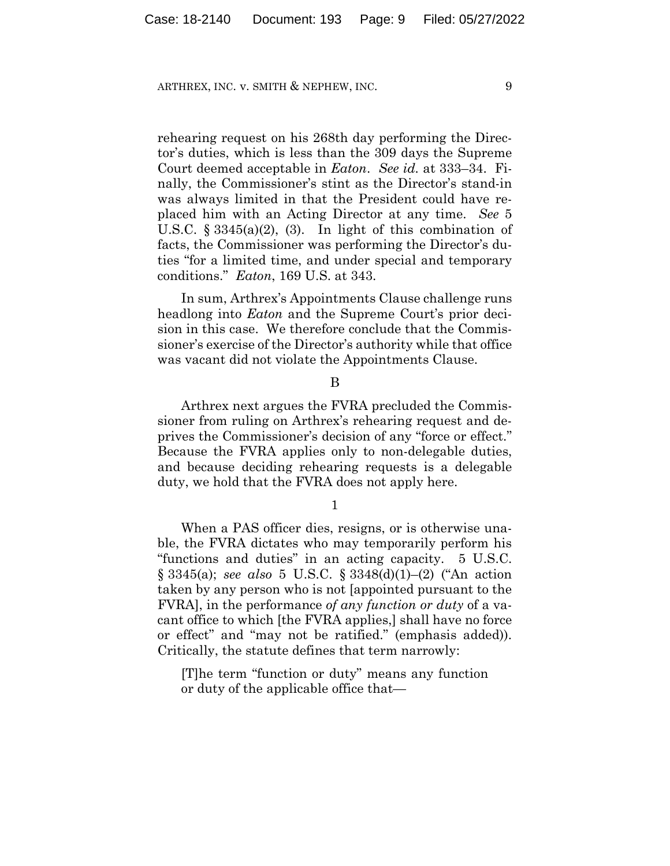rehearing request on his 268th day performing the Director's duties, which is less than the 309 days the Supreme Court deemed acceptable in *Eaton*. *See id.* at 333–34. Finally, the Commissioner's stint as the Director's stand-in was always limited in that the President could have replaced him with an Acting Director at any time. *See* 5 U.S.C.  $\S 3345(a)(2)$ , (3). In light of this combination of facts, the Commissioner was performing the Director's duties "for a limited time, and under special and temporary conditions." *Eaton*, 169 U.S. at 343.

In sum, Arthrex's Appointments Clause challenge runs headlong into *Eaton* and the Supreme Court's prior decision in this case. We therefore conclude that the Commissioner's exercise of the Director's authority while that office was vacant did not violate the Appointments Clause.

#### B

Arthrex next argues the FVRA precluded the Commissioner from ruling on Arthrex's rehearing request and deprives the Commissioner's decision of any "force or effect." Because the FVRA applies only to non-delegable duties, and because deciding rehearing requests is a delegable duty, we hold that the FVRA does not apply here.

1

When a PAS officer dies, resigns, or is otherwise unable, the FVRA dictates who may temporarily perform his "functions and duties" in an acting capacity. 5 U.S.C. § 3345(a); *see also* 5 U.S.C. § 3348(d)(1)–(2) ("An action taken by any person who is not [appointed pursuant to the FVRA], in the performance *of any function or duty* of a vacant office to which [the FVRA applies,] shall have no force or effect" and "may not be ratified." (emphasis added)). Critically, the statute defines that term narrowly:

[T]he term "function or duty" means any function or duty of the applicable office that—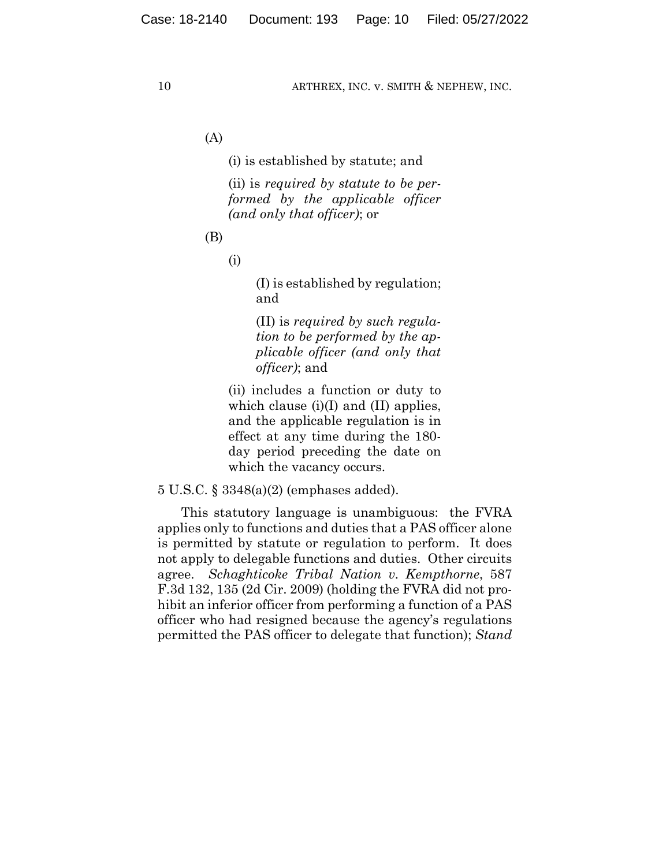(A)

(i) is established by statute; and

(ii) is *required by statute to be performed by the applicable officer (and only that officer)*; or

(B)

(i)

(I) is established by regulation; and

(II) is *required by such regulation to be performed by the applicable officer (and only that officer)*; and

(ii) includes a function or duty to which clause (i)(I) and (II) applies, and the applicable regulation is in effect at any time during the 180 day period preceding the date on which the vacancy occurs.

5 U.S.C. § 3348(a)(2) (emphases added).

This statutory language is unambiguous: the FVRA applies only to functions and duties that a PAS officer alone is permitted by statute or regulation to perform. It does not apply to delegable functions and duties. Other circuits agree. *Schaghticoke Tribal Nation v. Kempthorne*, 587 F.3d 132, 135 (2d Cir. 2009) (holding the FVRA did not prohibit an inferior officer from performing a function of a PAS officer who had resigned because the agency's regulations permitted the PAS officer to delegate that function); *Stand*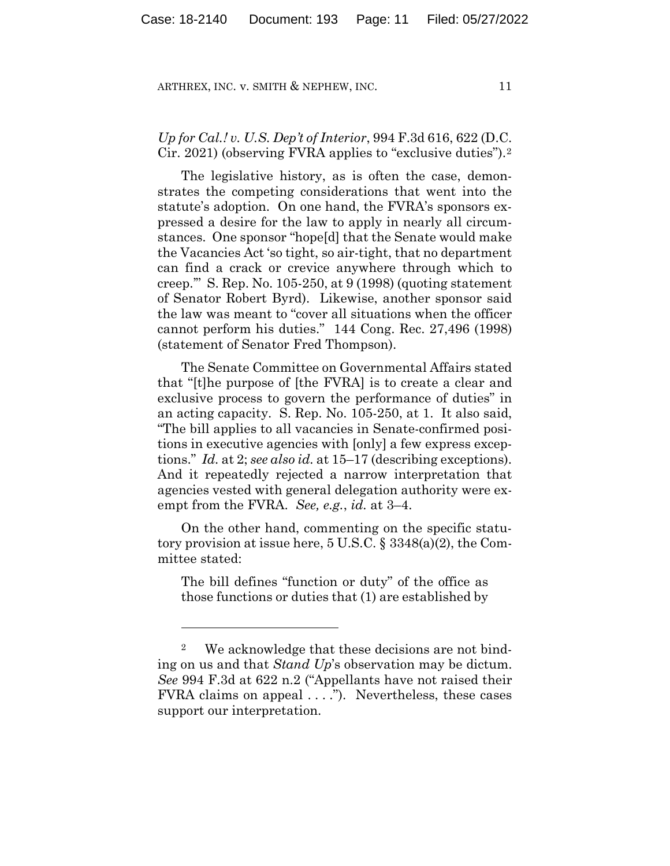# *Up for Cal.! v. U.S. Dep't of Interior*, 994 F.3d 616, 622 (D.C. Cir. 2021) (observing FVRA applies to "exclusive duties").2

The legislative history, as is often the case, demonstrates the competing considerations that went into the statute's adoption. On one hand, the FVRA's sponsors expressed a desire for the law to apply in nearly all circumstances. One sponsor "hope[d] that the Senate would make the Vacancies Act 'so tight, so air-tight, that no department can find a crack or crevice anywhere through which to creep.'" S. Rep. No. 105-250, at 9 (1998) (quoting statement of Senator Robert Byrd). Likewise, another sponsor said the law was meant to "cover all situations when the officer cannot perform his duties." 144 Cong. Rec. 27,496 (1998) (statement of Senator Fred Thompson).

The Senate Committee on Governmental Affairs stated that "[t]he purpose of [the FVRA] is to create a clear and exclusive process to govern the performance of duties" in an acting capacity. S. Rep. No. 105-250, at 1. It also said, "The bill applies to all vacancies in Senate-confirmed positions in executive agencies with [only] a few express exceptions." *Id.* at 2; *see also id.* at 15–17 (describing exceptions). And it repeatedly rejected a narrow interpretation that agencies vested with general delegation authority were exempt from the FVRA. *See, e.g.*, *id.* at 3–4.

On the other hand, commenting on the specific statutory provision at issue here, 5 U.S.C. § 3348(a)(2), the Committee stated:

The bill defines "function or duty" of the office as those functions or duties that (1) are established by

<sup>2</sup> We acknowledge that these decisions are not binding on us and that *Stand Up*'s observation may be dictum. *See* 994 F.3d at 622 n.2 ("Appellants have not raised their FVRA claims on appeal . . . ."). Nevertheless, these cases support our interpretation.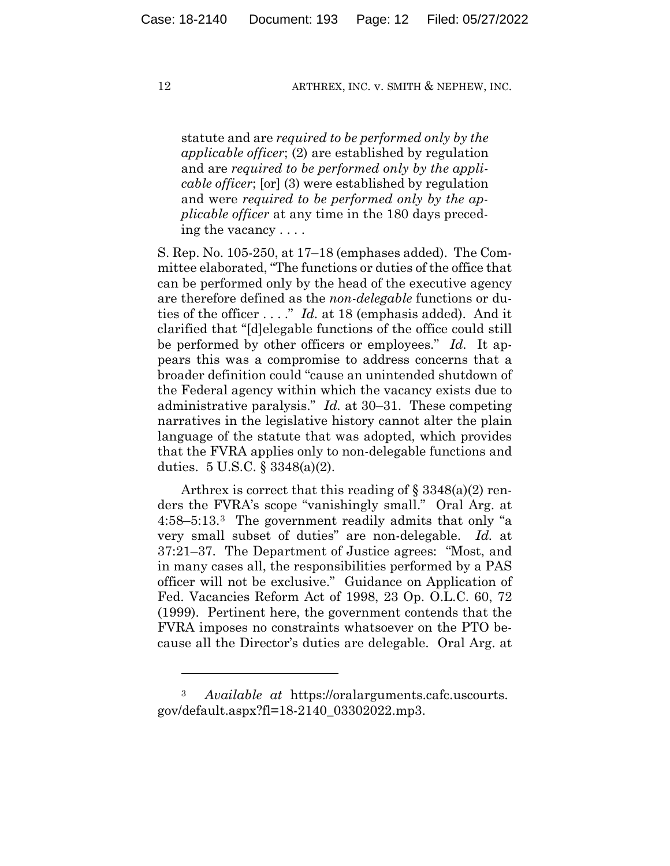statute and are *required to be performed only by the applicable officer*; (2) are established by regulation and are *required to be performed only by the applicable officer*; [or] (3) were established by regulation and were *required to be performed only by the applicable officer* at any time in the 180 days preceding the vacancy . . . .

S. Rep. No. 105-250, at 17–18 (emphases added). The Committee elaborated, "The functions or duties of the office that can be performed only by the head of the executive agency are therefore defined as the *non-delegable* functions or duties of the officer . . . ." *Id.* at 18 (emphasis added). And it clarified that "[d]elegable functions of the office could still be performed by other officers or employees." *Id.* It appears this was a compromise to address concerns that a broader definition could "cause an unintended shutdown of the Federal agency within which the vacancy exists due to administrative paralysis." *Id.* at 30–31. These competing narratives in the legislative history cannot alter the plain language of the statute that was adopted, which provides that the FVRA applies only to non-delegable functions and duties. 5 U.S.C. § 3348(a)(2).

Arthrex is correct that this reading of  $\S 3348(a)(2)$  renders the FVRA's scope "vanishingly small." Oral Arg. at 4:58–5:13.3 The government readily admits that only "a very small subset of duties" are non-delegable. *Id.* at 37:21–37. The Department of Justice agrees: "Most, and in many cases all, the responsibilities performed by a PAS officer will not be exclusive." Guidance on Application of Fed. Vacancies Reform Act of 1998, 23 Op. O.L.C. 60, 72 (1999). Pertinent here, the government contends that the FVRA imposes no constraints whatsoever on the PTO because all the Director's duties are delegable. Oral Arg. at

<sup>3</sup> *Available at* https://oralarguments.cafc.uscourts. gov/default.aspx?fl=18-2140\_03302022.mp3.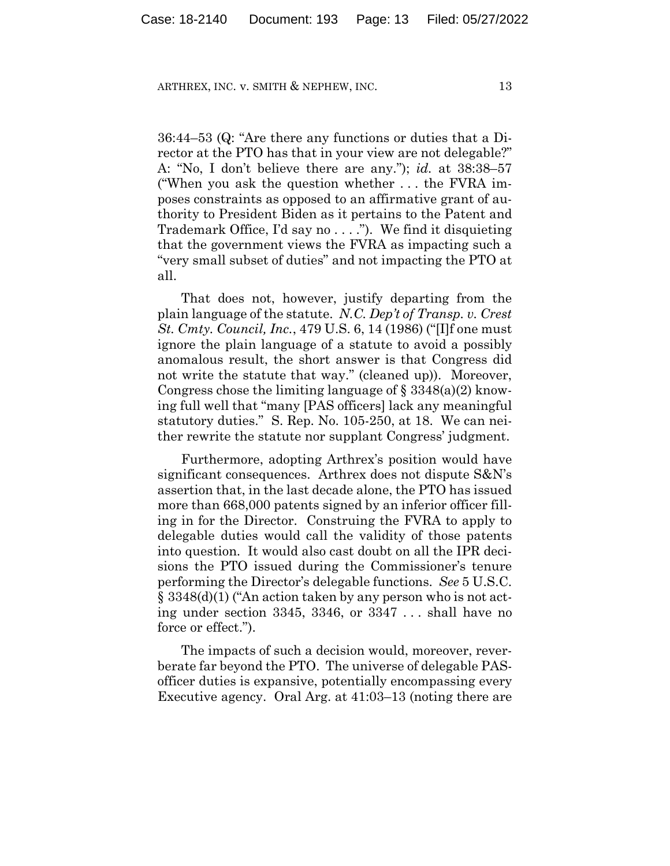36:44–53 (Q: "Are there any functions or duties that a Director at the PTO has that in your view are not delegable?" A: "No, I don't believe there are any."); *id.* at 38:38–57 ("When you ask the question whether . . . the FVRA imposes constraints as opposed to an affirmative grant of authority to President Biden as it pertains to the Patent and Trademark Office, I'd say no . . . ."). We find it disquieting that the government views the FVRA as impacting such a "very small subset of duties" and not impacting the PTO at all.

That does not, however, justify departing from the plain language of the statute. *N.C. Dep't of Transp. v. Crest St. Cmty. Council, Inc.*, 479 U.S. 6, 14 (1986) ("[I]f one must ignore the plain language of a statute to avoid a possibly anomalous result, the short answer is that Congress did not write the statute that way." (cleaned up)). Moreover, Congress chose the limiting language of  $\S 3348(a)(2)$  knowing full well that "many [PAS officers] lack any meaningful statutory duties." S. Rep. No. 105-250, at 18. We can neither rewrite the statute nor supplant Congress' judgment.

Furthermore, adopting Arthrex's position would have significant consequences. Arthrex does not dispute S&N's assertion that, in the last decade alone, the PTO has issued more than 668,000 patents signed by an inferior officer filling in for the Director. Construing the FVRA to apply to delegable duties would call the validity of those patents into question. It would also cast doubt on all the IPR decisions the PTO issued during the Commissioner's tenure performing the Director's delegable functions. *See* 5 U.S.C. § 3348(d)(1) ("An action taken by any person who is not acting under section 3345, 3346, or 3347 . . . shall have no force or effect.").

The impacts of such a decision would, moreover, reverberate far beyond the PTO. The universe of delegable PASofficer duties is expansive, potentially encompassing every Executive agency. Oral Arg. at 41:03–13 (noting there are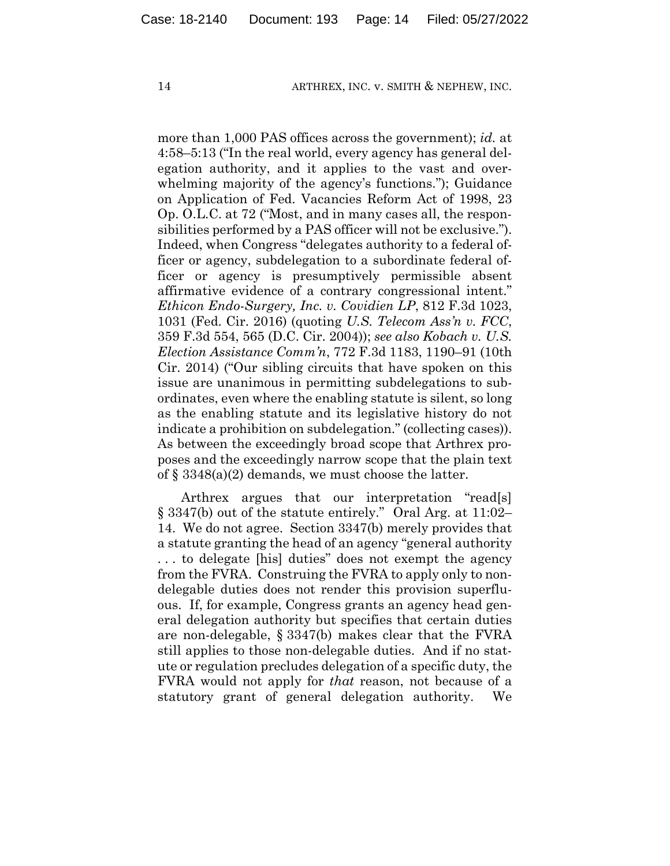more than 1,000 PAS offices across the government); *id.* at 4:58–5:13 ("In the real world, every agency has general delegation authority, and it applies to the vast and overwhelming majority of the agency's functions."); Guidance on Application of Fed. Vacancies Reform Act of 1998, 23 Op. O.L.C. at 72 ("Most, and in many cases all, the responsibilities performed by a PAS officer will not be exclusive."). Indeed, when Congress "delegates authority to a federal officer or agency, subdelegation to a subordinate federal officer or agency is presumptively permissible absent affirmative evidence of a contrary congressional intent." *Ethicon Endo-Surgery, Inc. v. Covidien LP*, 812 F.3d 1023, 1031 (Fed. Cir. 2016) (quoting *U.S. Telecom Ass'n v. FCC*, 359 F.3d 554, 565 (D.C. Cir. 2004)); *see also Kobach v. U.S. Election Assistance Comm'n*, 772 F.3d 1183, 1190–91 (10th Cir. 2014) ("Our sibling circuits that have spoken on this issue are unanimous in permitting subdelegations to subordinates, even where the enabling statute is silent, so long as the enabling statute and its legislative history do not indicate a prohibition on subdelegation." (collecting cases)). As between the exceedingly broad scope that Arthrex proposes and the exceedingly narrow scope that the plain text of § 3348(a)(2) demands, we must choose the latter.

Arthrex argues that our interpretation "read[s] § 3347(b) out of the statute entirely." Oral Arg. at 11:02– 14. We do not agree. Section 3347(b) merely provides that a statute granting the head of an agency "general authority . . . to delegate [his] duties" does not exempt the agency from the FVRA. Construing the FVRA to apply only to nondelegable duties does not render this provision superfluous. If, for example, Congress grants an agency head general delegation authority but specifies that certain duties are non-delegable, § 3347(b) makes clear that the FVRA still applies to those non-delegable duties. And if no statute or regulation precludes delegation of a specific duty, the FVRA would not apply for *that* reason, not because of a statutory grant of general delegation authority. We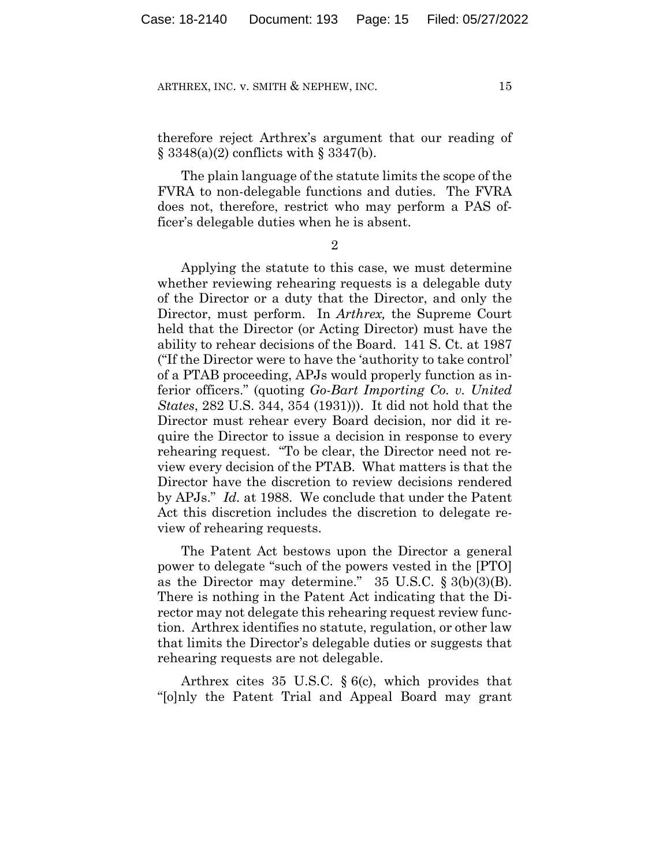therefore reject Arthrex's argument that our reading of  $\S$  3348(a)(2) conflicts with  $\S$  3347(b).

The plain language of the statute limits the scope of the FVRA to non-delegable functions and duties. The FVRA does not, therefore, restrict who may perform a PAS officer's delegable duties when he is absent.

2

Applying the statute to this case, we must determine whether reviewing rehearing requests is a delegable duty of the Director or a duty that the Director, and only the Director, must perform. In *Arthrex,* the Supreme Court held that the Director (or Acting Director) must have the ability to rehear decisions of the Board. 141 S. Ct. at 1987 ("If the Director were to have the 'authority to take control' of a PTAB proceeding, APJs would properly function as inferior officers." (quoting *Go-Bart Importing Co. v. United States*, 282 U.S. 344, 354 (1931))). It did not hold that the Director must rehear every Board decision, nor did it require the Director to issue a decision in response to every rehearing request. "To be clear, the Director need not review every decision of the PTAB. What matters is that the Director have the discretion to review decisions rendered by APJs." *Id.* at 1988. We conclude that under the Patent Act this discretion includes the discretion to delegate review of rehearing requests.

The Patent Act bestows upon the Director a general power to delegate "such of the powers vested in the [PTO] as the Director may determine."  $35 \text{ U.S.C. } \S 3(b)(3)(B)$ . There is nothing in the Patent Act indicating that the Director may not delegate this rehearing request review function. Arthrex identifies no statute, regulation, or other law that limits the Director's delegable duties or suggests that rehearing requests are not delegable.

Arthrex cites 35 U.S.C. § 6(c), which provides that "[o]nly the Patent Trial and Appeal Board may grant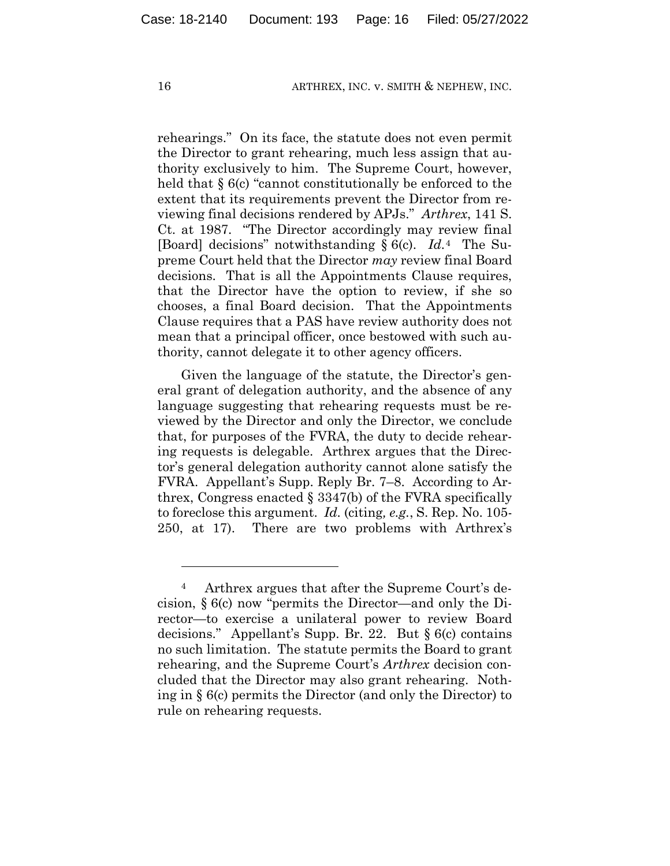rehearings." On its face, the statute does not even permit the Director to grant rehearing, much less assign that authority exclusively to him. The Supreme Court, however, held that § 6(c) "cannot constitutionally be enforced to the extent that its requirements prevent the Director from reviewing final decisions rendered by APJs." *Arthrex*, 141 S. Ct. at 1987. "The Director accordingly may review final [Board] decisions" notwithstanding § 6(c). *Id.*4 The Supreme Court held that the Director *may* review final Board decisions. That is all the Appointments Clause requires, that the Director have the option to review, if she so chooses, a final Board decision. That the Appointments Clause requires that a PAS have review authority does not mean that a principal officer, once bestowed with such authority, cannot delegate it to other agency officers.

Given the language of the statute, the Director's general grant of delegation authority, and the absence of any language suggesting that rehearing requests must be reviewed by the Director and only the Director, we conclude that, for purposes of the FVRA, the duty to decide rehearing requests is delegable. Arthrex argues that the Director's general delegation authority cannot alone satisfy the FVRA. Appellant's Supp. Reply Br. 7–8. According to Arthrex, Congress enacted § 3347(b) of the FVRA specifically to foreclose this argument. *Id.* (citing*, e.g.*, S. Rep. No. 105- 250, at 17). There are two problems with Arthrex's

<sup>4</sup> Arthrex argues that after the Supreme Court's decision, § 6(c) now "permits the Director—and only the Director—to exercise a unilateral power to review Board decisions." Appellant's Supp. Br. 22. But § 6(c) contains no such limitation. The statute permits the Board to grant rehearing, and the Supreme Court's *Arthrex* decision concluded that the Director may also grant rehearing. Nothing in § 6(c) permits the Director (and only the Director) to rule on rehearing requests.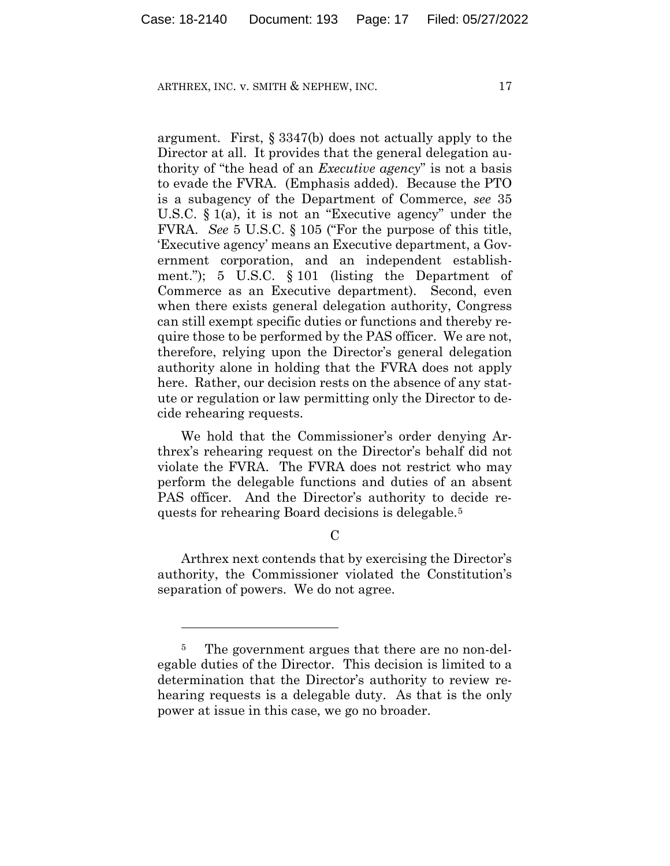argument. First, § 3347(b) does not actually apply to the Director at all. It provides that the general delegation authority of "the head of an *Executive agency*" is not a basis to evade the FVRA. (Emphasis added). Because the PTO is a subagency of the Department of Commerce, *see* 35 U.S.C. § 1(a), it is not an "Executive agency" under the FVRA. *See* 5 U.S.C. § 105 ("For the purpose of this title, 'Executive agency' means an Executive department, a Government corporation, and an independent establishment."); 5 U.S.C. § 101 (listing the Department of Commerce as an Executive department). Second, even when there exists general delegation authority, Congress can still exempt specific duties or functions and thereby require those to be performed by the PAS officer. We are not, therefore, relying upon the Director's general delegation authority alone in holding that the FVRA does not apply here. Rather, our decision rests on the absence of any statute or regulation or law permitting only the Director to decide rehearing requests.

We hold that the Commissioner's order denying Arthrex's rehearing request on the Director's behalf did not violate the FVRA. The FVRA does not restrict who may perform the delegable functions and duties of an absent PAS officer. And the Director's authority to decide requests for rehearing Board decisions is delegable.5

 $\mathcal{C}$ 

Arthrex next contends that by exercising the Director's authority, the Commissioner violated the Constitution's separation of powers. We do not agree.

<sup>&</sup>lt;sup>5</sup> The government argues that there are no non-delegable duties of the Director. This decision is limited to a determination that the Director's authority to review rehearing requests is a delegable duty. As that is the only power at issue in this case, we go no broader.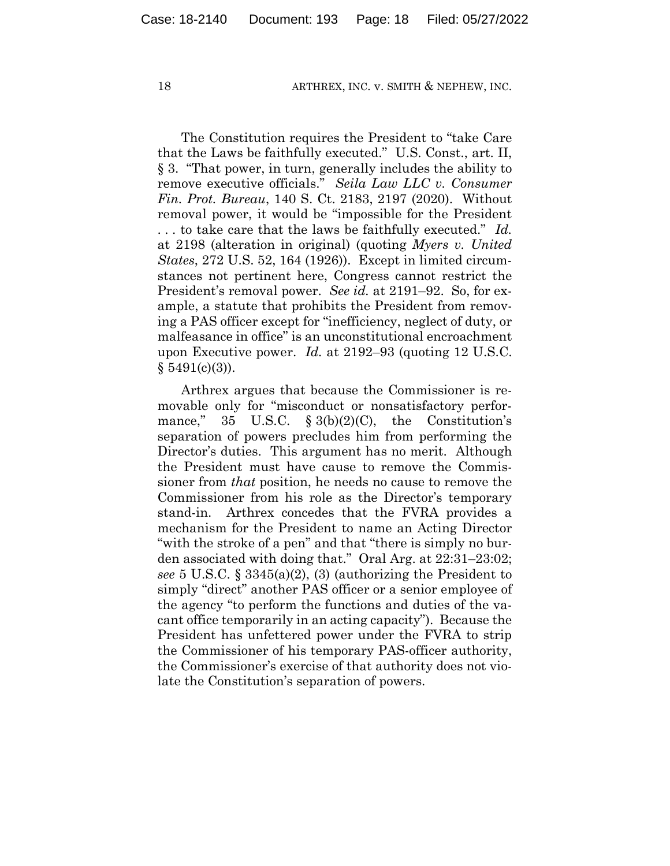The Constitution requires the President to "take Care that the Laws be faithfully executed." U.S. Const., art. II, § 3. "That power, in turn, generally includes the ability to remove executive officials." *Seila Law LLC v. Consumer Fin. Prot. Bureau*, 140 S. Ct. 2183, 2197 (2020). Without removal power, it would be "impossible for the President . . . to take care that the laws be faithfully executed." *Id.* at 2198 (alteration in original) (quoting *Myers v. United States*, 272 U.S. 52, 164 (1926)). Except in limited circumstances not pertinent here, Congress cannot restrict the President's removal power. *See id.* at 2191–92. So, for example, a statute that prohibits the President from removing a PAS officer except for "inefficiency, neglect of duty, or malfeasance in office" is an unconstitutional encroachment upon Executive power. *Id.* at 2192–93 (quoting 12 U.S.C.  $$5491(c)(3)$ ).

Arthrex argues that because the Commissioner is removable only for "misconduct or nonsatisfactory performance," 35 U.S.C.  $\S 3(b)(2)(C)$ , the Constitution's separation of powers precludes him from performing the Director's duties. This argument has no merit. Although the President must have cause to remove the Commissioner from *that* position, he needs no cause to remove the Commissioner from his role as the Director's temporary stand-in. Arthrex concedes that the FVRA provides a mechanism for the President to name an Acting Director "with the stroke of a pen" and that "there is simply no burden associated with doing that." Oral Arg. at 22:31–23:02; *see* 5 U.S.C. § 3345(a)(2), (3) (authorizing the President to simply "direct" another PAS officer or a senior employee of the agency "to perform the functions and duties of the vacant office temporarily in an acting capacity"). Because the President has unfettered power under the FVRA to strip the Commissioner of his temporary PAS-officer authority, the Commissioner's exercise of that authority does not violate the Constitution's separation of powers.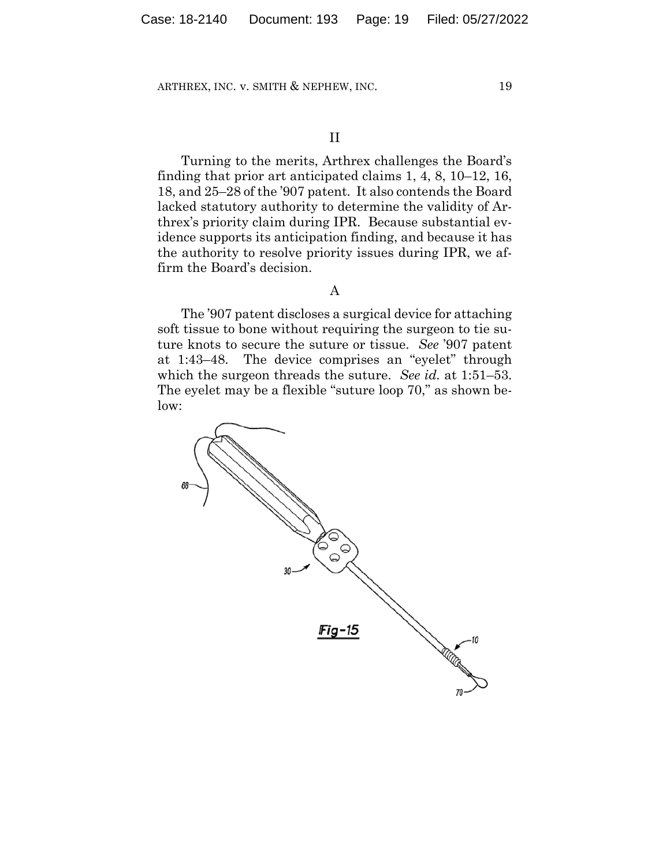# II

Turning to the merits, Arthrex challenges the Board's finding that prior art anticipated claims 1, 4, 8, 10–12, 16, 18, and 25–28 of the '907 patent. It also contends the Board lacked statutory authority to determine the validity of Arthrex's priority claim during IPR. Because substantial evidence supports its anticipation finding, and because it has the authority to resolve priority issues during IPR, we affirm the Board's decision.

# A

The '907 patent discloses a surgical device for attaching soft tissue to bone without requiring the surgeon to tie suture knots to secure the suture or tissue. *See* '907 patent at 1:43–48. The device comprises an "eyelet" through which the surgeon threads the suture. *See id.* at 1:51–53. The eyelet may be a flexible "suture loop 70," as shown below:

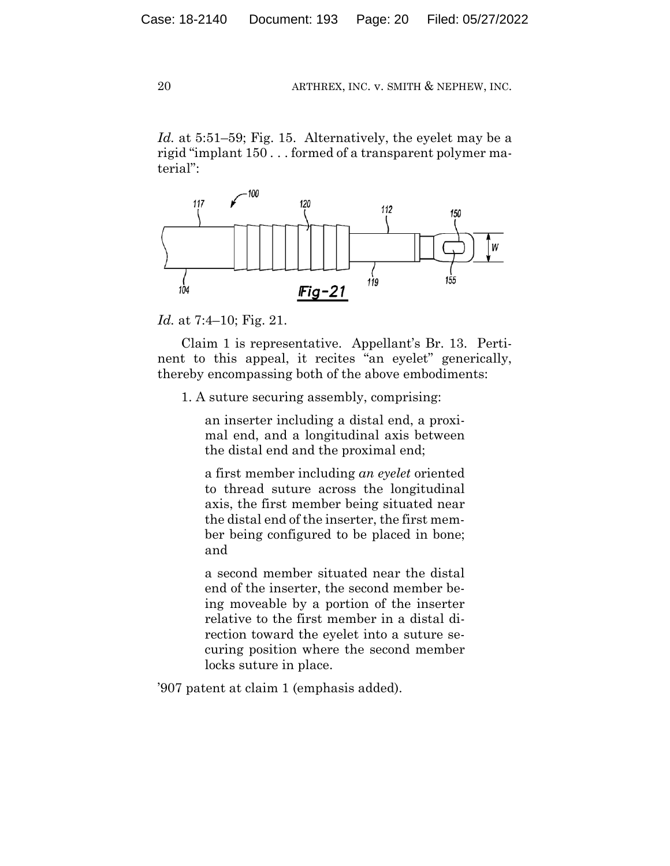*Id.* at 5:51–59; Fig. 15. Alternatively, the eyelet may be a rigid "implant 150 . . . formed of a transparent polymer material":



*Id.* at 7:4–10; Fig. 21.

Claim 1 is representative. Appellant's Br. 13. Pertinent to this appeal, it recites "an eyelet" generically, thereby encompassing both of the above embodiments:

1. A suture securing assembly, comprising:

an inserter including a distal end, a proximal end, and a longitudinal axis between the distal end and the proximal end;

a first member including *an eyelet* oriented to thread suture across the longitudinal axis, the first member being situated near the distal end of the inserter, the first member being configured to be placed in bone; and

a second member situated near the distal end of the inserter, the second member being moveable by a portion of the inserter relative to the first member in a distal direction toward the eyelet into a suture securing position where the second member locks suture in place.

'907 patent at claim 1 (emphasis added).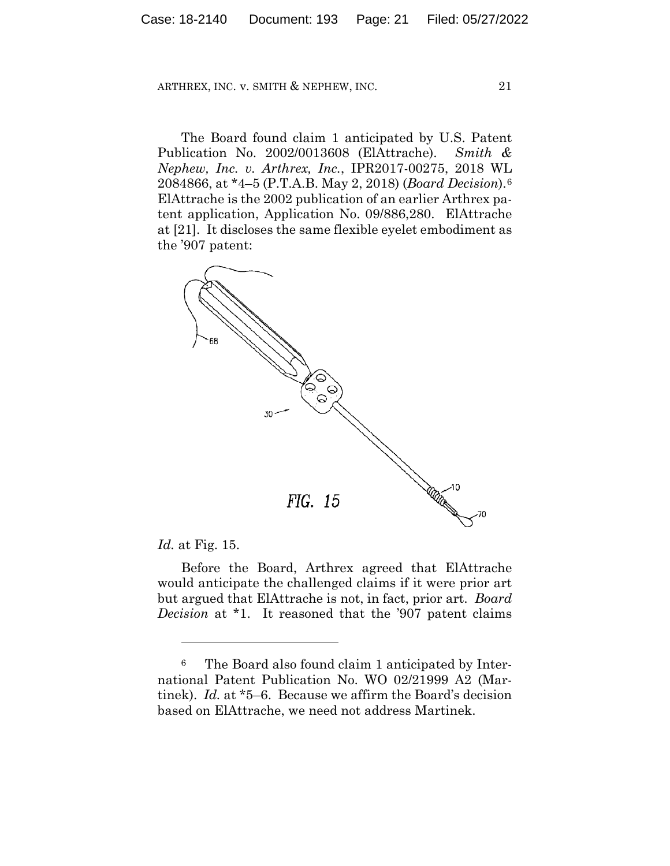The Board found claim 1 anticipated by U.S. Patent Publication No. 2002/0013608 (ElAttrache). *Smith & Nephew, Inc. v. Arthrex, Inc.*, IPR2017-00275, 2018 WL 2084866, at \*4–5 (P.T.A.B. May 2, 2018) (*Board Decision*).6 ElAttrache is the 2002 publication of an earlier Arthrex patent application, Application No. 09/886,280. ElAttrache at [21]. It discloses the same flexible eyelet embodiment as the '907 patent:



*Id.* at Fig. 15.

Before the Board, Arthrex agreed that ElAttrache would anticipate the challenged claims if it were prior art but argued that ElAttrache is not, in fact, prior art. *Board Decision* at \*1. It reasoned that the '907 patent claims

<sup>6</sup> The Board also found claim 1 anticipated by International Patent Publication No. WO 02/21999 A2 (Martinek). *Id.* at \*5–6. Because we affirm the Board's decision based on ElAttrache, we need not address Martinek.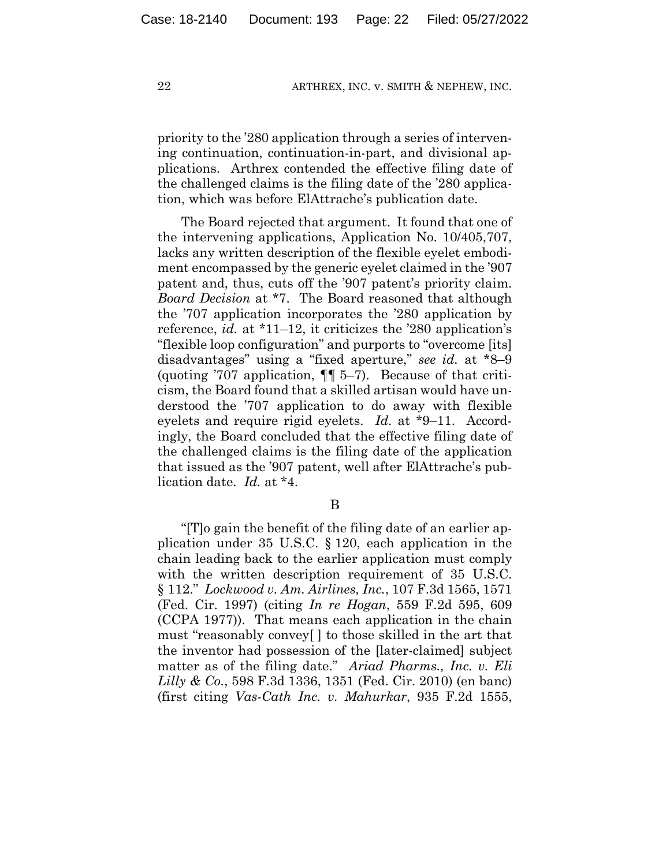priority to the '280 application through a series of intervening continuation, continuation-in-part, and divisional applications. Arthrex contended the effective filing date of the challenged claims is the filing date of the '280 application, which was before ElAttrache's publication date.

The Board rejected that argument. It found that one of the intervening applications, Application No. 10/405,707, lacks any written description of the flexible eyelet embodiment encompassed by the generic eyelet claimed in the '907 patent and, thus, cuts off the '907 patent's priority claim. *Board Decision* at \*7. The Board reasoned that although the '707 application incorporates the '280 application by reference, *id.* at \*11–12, it criticizes the '280 application's "flexible loop configuration" and purports to "overcome [its] disadvantages" using a "fixed aperture," *see id.* at \*8–9 (quoting '707 application,  $\P$  5–7). Because of that criticism, the Board found that a skilled artisan would have understood the '707 application to do away with flexible eyelets and require rigid eyelets. *Id.* at \*9–11. Accordingly, the Board concluded that the effective filing date of the challenged claims is the filing date of the application that issued as the '907 patent, well after ElAttrache's publication date. *Id.* at \*4.

B

"[T]o gain the benefit of the filing date of an earlier application under 35 U.S.C. § 120, each application in the chain leading back to the earlier application must comply with the written description requirement of 35 U.S.C. § 112." *Lockwood v. Am. Airlines, Inc.*, 107 F.3d 1565, 1571 (Fed. Cir. 1997) (citing *In re Hogan*, 559 F.2d 595, 609 (CCPA 1977)). That means each application in the chain must "reasonably convey[ ] to those skilled in the art that the inventor had possession of the [later-claimed] subject matter as of the filing date." *Ariad Pharms., Inc. v. Eli Lilly & Co.*, 598 F.3d 1336, 1351 (Fed. Cir. 2010) (en banc) (first citing *Vas-Cath Inc. v. Mahurkar*, 935 F.2d 1555,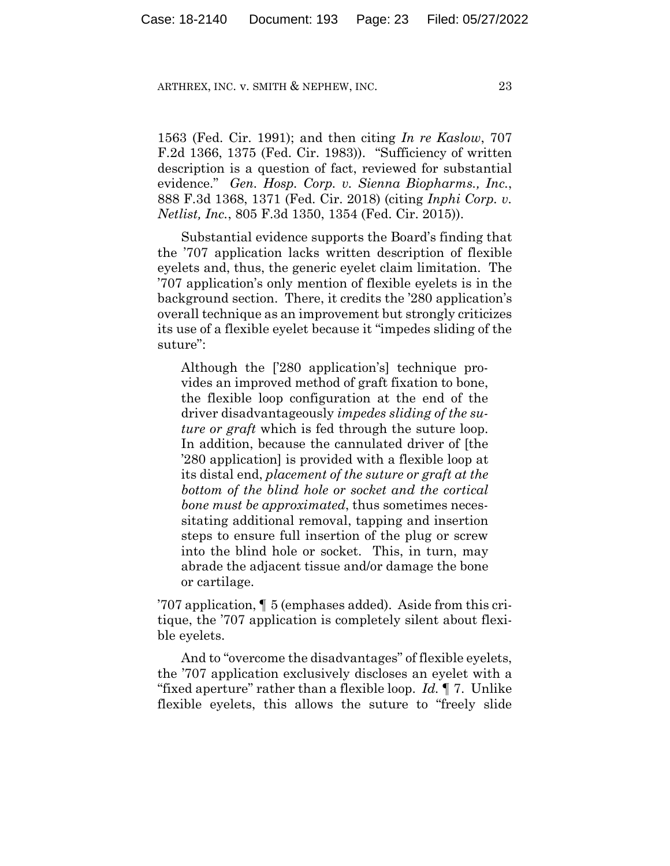1563 (Fed. Cir. 1991); and then citing *In re Kaslow*, 707 F.2d 1366, 1375 (Fed. Cir. 1983)). "Sufficiency of written description is a question of fact, reviewed for substantial evidence." *Gen. Hosp. Corp. v. Sienna Biopharms., Inc.*, 888 F.3d 1368, 1371 (Fed. Cir. 2018) (citing *Inphi Corp. v. Netlist, Inc.*, 805 F.3d 1350, 1354 (Fed. Cir. 2015)).

Substantial evidence supports the Board's finding that the '707 application lacks written description of flexible eyelets and, thus, the generic eyelet claim limitation. The '707 application's only mention of flexible eyelets is in the background section. There, it credits the '280 application's overall technique as an improvement but strongly criticizes its use of a flexible eyelet because it "impedes sliding of the suture":

Although the ['280 application's] technique provides an improved method of graft fixation to bone, the flexible loop configuration at the end of the driver disadvantageously *impedes sliding of the suture or graft* which is fed through the suture loop. In addition, because the cannulated driver of [the '280 application] is provided with a flexible loop at its distal end, *placement of the suture or graft at the bottom of the blind hole or socket and the cortical bone must be approximated*, thus sometimes necessitating additional removal, tapping and insertion steps to ensure full insertion of the plug or screw into the blind hole or socket. This, in turn, may abrade the adjacent tissue and/or damage the bone or cartilage.

'707 application, ¶ 5 (emphases added). Aside from this critique, the '707 application is completely silent about flexible eyelets.

And to "overcome the disadvantages" of flexible eyelets, the '707 application exclusively discloses an eyelet with a "fixed aperture" rather than a flexible loop. *Id.* ¶ 7. Unlike flexible eyelets, this allows the suture to "freely slide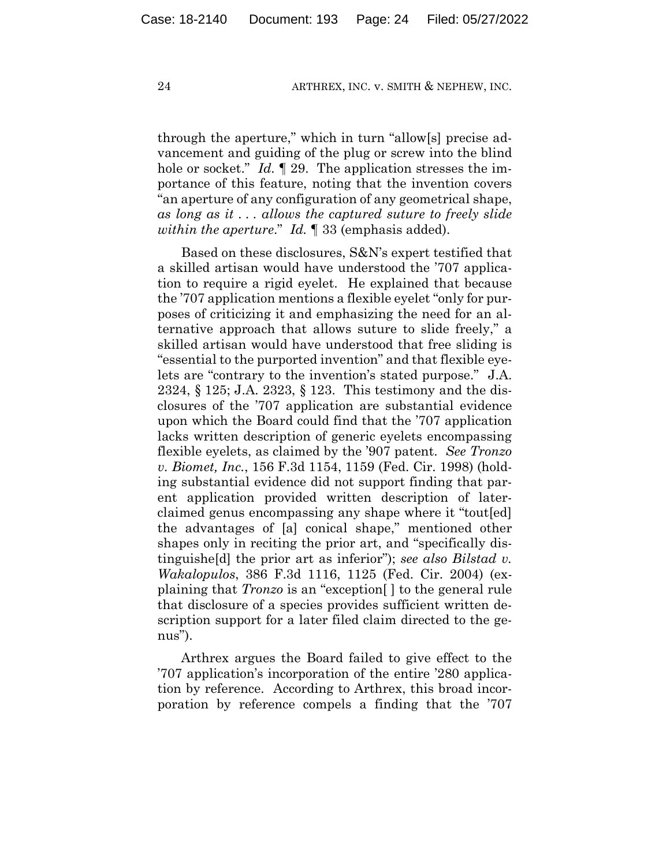through the aperture," which in turn "allow[s] precise advancement and guiding of the plug or screw into the blind hole or socket." *Id.* 129. The application stresses the importance of this feature, noting that the invention covers "an aperture of any configuration of any geometrical shape, *as long as it . . . allows the captured suture to freely slide within the aperture*." *Id.* ¶ 33 (emphasis added).

Based on these disclosures, S&N's expert testified that a skilled artisan would have understood the '707 application to require a rigid eyelet. He explained that because the '707 application mentions a flexible eyelet "only for purposes of criticizing it and emphasizing the need for an alternative approach that allows suture to slide freely," a skilled artisan would have understood that free sliding is "essential to the purported invention" and that flexible eyelets are "contrary to the invention's stated purpose." J.A. 2324, § 125; J.A. 2323, § 123. This testimony and the disclosures of the '707 application are substantial evidence upon which the Board could find that the '707 application lacks written description of generic eyelets encompassing flexible eyelets, as claimed by the '907 patent. *See Tronzo v. Biomet, Inc.*, 156 F.3d 1154, 1159 (Fed. Cir. 1998) (holding substantial evidence did not support finding that parent application provided written description of laterclaimed genus encompassing any shape where it "tout[ed] the advantages of [a] conical shape," mentioned other shapes only in reciting the prior art, and "specifically distinguishe[d] the prior art as inferior"); *see also Bilstad v. Wakalopulos*, 386 F.3d 1116, 1125 (Fed. Cir. 2004) (explaining that *Tronzo* is an "exception[ ] to the general rule that disclosure of a species provides sufficient written description support for a later filed claim directed to the genus").

Arthrex argues the Board failed to give effect to the '707 application's incorporation of the entire '280 application by reference. According to Arthrex, this broad incorporation by reference compels a finding that the '707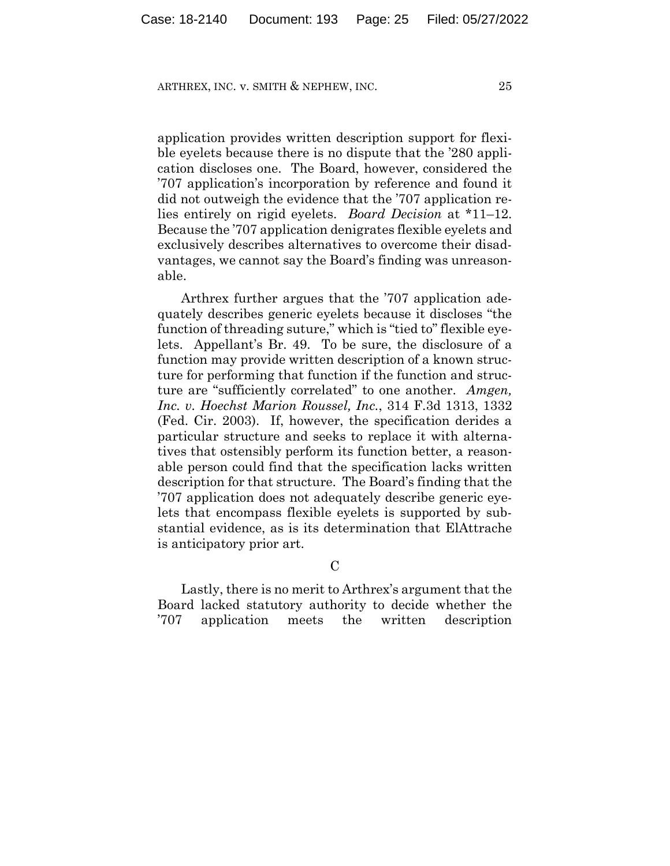application provides written description support for flexible eyelets because there is no dispute that the '280 application discloses one. The Board, however, considered the '707 application's incorporation by reference and found it did not outweigh the evidence that the '707 application relies entirely on rigid eyelets. *Board Decision* at \*11–12. Because the '707 application denigrates flexible eyelets and exclusively describes alternatives to overcome their disadvantages, we cannot say the Board's finding was unreasonable.

Arthrex further argues that the '707 application adequately describes generic eyelets because it discloses "the function of threading suture," which is "tied to" flexible eyelets. Appellant's Br. 49. To be sure, the disclosure of a function may provide written description of a known structure for performing that function if the function and structure are "sufficiently correlated" to one another. *Amgen, Inc. v. Hoechst Marion Roussel, Inc.*, 314 F.3d 1313, 1332 (Fed. Cir. 2003). If, however, the specification derides a particular structure and seeks to replace it with alternatives that ostensibly perform its function better, a reasonable person could find that the specification lacks written description for that structure. The Board's finding that the '707 application does not adequately describe generic eyelets that encompass flexible eyelets is supported by substantial evidence, as is its determination that ElAttrache is anticipatory prior art.

 $\overline{C}$ 

Lastly, there is no merit to Arthrex's argument that the Board lacked statutory authority to decide whether the '707 application meets the written description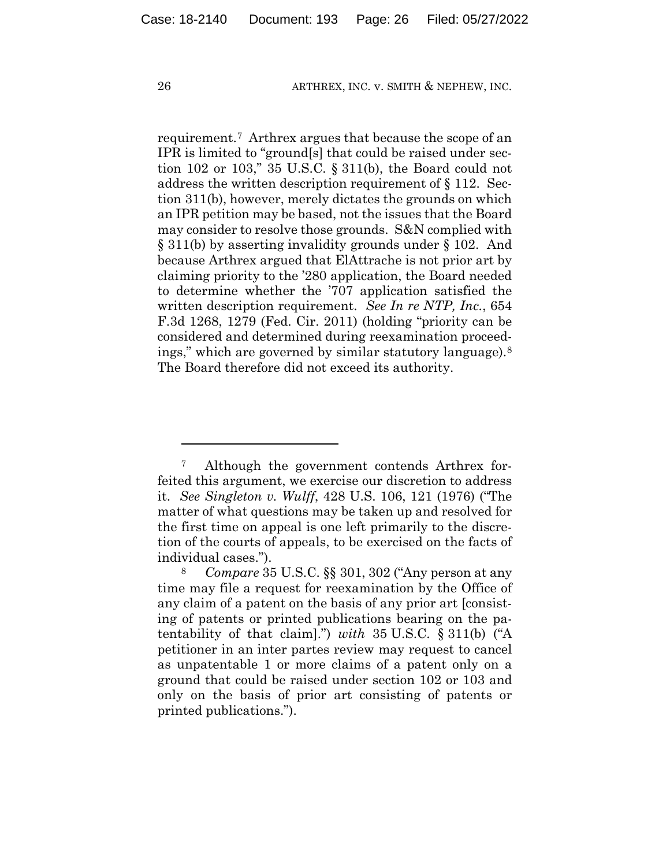requirement.7 Arthrex argues that because the scope of an IPR is limited to "ground[s] that could be raised under section 102 or 103," 35 U.S.C. § 311(b), the Board could not address the written description requirement of § 112. Section 311(b), however, merely dictates the grounds on which an IPR petition may be based, not the issues that the Board may consider to resolve those grounds. S&N complied with § 311(b) by asserting invalidity grounds under § 102. And because Arthrex argued that ElAttrache is not prior art by claiming priority to the '280 application, the Board needed to determine whether the '707 application satisfied the written description requirement. *See In re NTP, Inc.*, 654 F.3d 1268, 1279 (Fed. Cir. 2011) (holding "priority can be considered and determined during reexamination proceedings," which are governed by similar statutory language).8 The Board therefore did not exceed its authority.

<sup>7</sup> Although the government contends Arthrex forfeited this argument, we exercise our discretion to address it. *See Singleton v. Wulff*, 428 U.S. 106, 121 (1976) ("The matter of what questions may be taken up and resolved for the first time on appeal is one left primarily to the discretion of the courts of appeals, to be exercised on the facts of individual cases.").

<sup>8</sup> *Compare* 35 U.S.C. §§ 301, 302 ("Any person at any time may file a request for reexamination by the Office of any claim of a patent on the basis of any prior art [consisting of patents or printed publications bearing on the patentability of that claim].") *with* 35 U.S.C. § 311(b) ("A petitioner in an inter partes review may request to cancel as unpatentable 1 or more claims of a patent only on a ground that could be raised under section 102 or 103 and only on the basis of prior art consisting of patents or printed publications.").